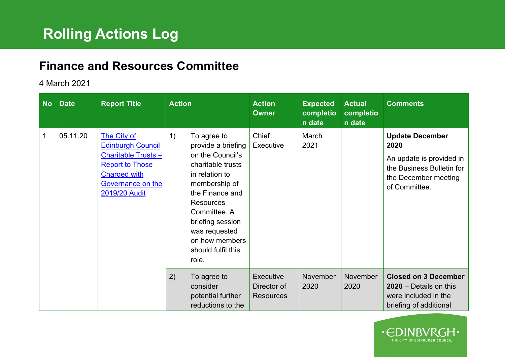## **Finance and Resources Committee**

## 4 March 2021

| <b>No</b>   | <b>Date</b> | <b>Report Title</b>                                                                                                                                         | <b>Action</b>                                                                                                                                                                                                                                             | <b>Action</b><br><b>Owner</b>                       | <b>Expected</b><br>completio<br>n date | <b>Actual</b><br>completio<br>n date | <b>Comments</b>                                                                                                                  |
|-------------|-------------|-------------------------------------------------------------------------------------------------------------------------------------------------------------|-----------------------------------------------------------------------------------------------------------------------------------------------------------------------------------------------------------------------------------------------------------|-----------------------------------------------------|----------------------------------------|--------------------------------------|----------------------------------------------------------------------------------------------------------------------------------|
| $\mathbf 1$ | 05.11.20    | The City of<br><b>Edinburgh Council</b><br><b>Charitable Trusts-</b><br><b>Report to Those</b><br><b>Charged with</b><br>Governance on the<br>2019/20 Audit | 1)<br>To agree to<br>provide a briefing<br>on the Council's<br>charitable trusts<br>in relation to<br>membership of<br>the Finance and<br>Resources<br>Committee, A<br>briefing session<br>was requested<br>on how members<br>should fulfil this<br>role. | Chief<br>Executive                                  | March<br>2021                          |                                      | <b>Update December</b><br>2020<br>An update is provided in<br>the Business Bulletin for<br>the December meeting<br>of Committee. |
|             |             |                                                                                                                                                             | 2)<br>To agree to<br>consider<br>potential further<br>reductions to the                                                                                                                                                                                   | <b>Executive</b><br>Director of<br><b>Resources</b> | November<br>2020                       | November<br>2020                     | <b>Closed on 3 December</b><br>$2020 - Details$ on this<br>were included in the<br>briefing of additional                        |

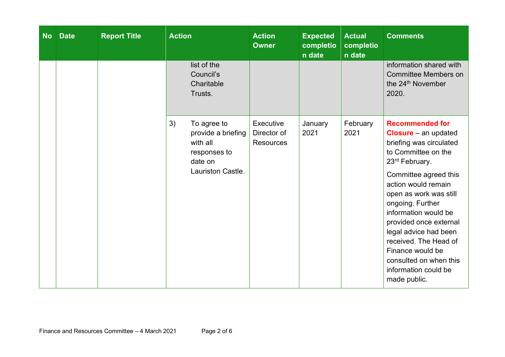| <b>No</b> | <b>Date</b> | <b>Report Title</b> | <b>Action</b>                                                                                              | <b>Action</b><br><b>Owner</b>                | <b>Expected</b><br>completio<br>n date | <b>Actual</b><br>completio<br>n date | <b>Comments</b>                                                                                                                                                                                                                                                                                                                                                                                                                 |
|-----------|-------------|---------------------|------------------------------------------------------------------------------------------------------------|----------------------------------------------|----------------------------------------|--------------------------------------|---------------------------------------------------------------------------------------------------------------------------------------------------------------------------------------------------------------------------------------------------------------------------------------------------------------------------------------------------------------------------------------------------------------------------------|
|           |             |                     | list of the<br>Council's<br>Charitable<br>Trusts.                                                          |                                              |                                        |                                      | information shared with<br><b>Committee Members on</b><br>the 24 <sup>th</sup> November<br>2020.                                                                                                                                                                                                                                                                                                                                |
|           |             |                     | 3)<br>To agree to<br>provide a briefing<br>with all<br>responses to<br>date on<br><b>Lauriston Castle.</b> | Executive<br>Director of<br><b>Resources</b> | January<br>2021                        | February<br>2021                     | <b>Recommended for</b><br><b>Closure</b> $-$ an updated<br>briefing was circulated<br>to Committee on the<br>23 <sup>rd</sup> February.<br>Committee agreed this<br>action would remain<br>open as work was still<br>ongoing. Further<br>information would be<br>provided once external<br>legal advice had been<br>received. The Head of<br>Finance would be<br>consulted on when this<br>information could be<br>made public. |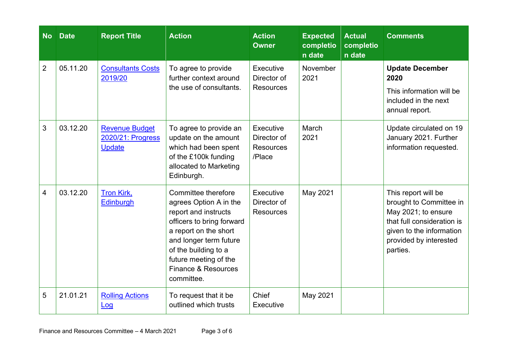| <b>No</b>      | <b>Date</b> | <b>Report Title</b>                                         | <b>Action</b>                                                                                                                                                                                                                               | <b>Action</b><br><b>Owner</b>                          | <b>Expected</b><br>completio<br>n date | <b>Actual</b><br>completio<br>n date | <b>Comments</b>                                                                                                                                                       |
|----------------|-------------|-------------------------------------------------------------|---------------------------------------------------------------------------------------------------------------------------------------------------------------------------------------------------------------------------------------------|--------------------------------------------------------|----------------------------------------|--------------------------------------|-----------------------------------------------------------------------------------------------------------------------------------------------------------------------|
| $\overline{2}$ | 05.11.20    | <b>Consultants Costs</b><br>2019/20                         | To agree to provide<br>further context around<br>the use of consultants.                                                                                                                                                                    | Executive<br>Director of<br><b>Resources</b>           | November<br>2021                       |                                      | <b>Update December</b><br>2020<br>This information will be<br>included in the next<br>annual report.                                                                  |
| 3              | 03.12.20    | <b>Revenue Budget</b><br>2020/21: Progress<br><b>Update</b> | To agree to provide an<br>update on the amount<br>which had been spent<br>of the £100k funding<br>allocated to Marketing<br>Edinburgh.                                                                                                      | Executive<br>Director of<br><b>Resources</b><br>/Place | March<br>2021                          |                                      | Update circulated on 19<br>January 2021. Further<br>information requested.                                                                                            |
| 4              | 03.12.20    | Tron Kirk,<br><b>Edinburgh</b>                              | Committee therefore<br>agrees Option A in the<br>report and instructs<br>officers to bring forward<br>a report on the short<br>and longer term future<br>of the building to a<br>future meeting of the<br>Finance & Resources<br>committee. | Executive<br>Director of<br><b>Resources</b>           | May 2021                               |                                      | This report will be<br>brought to Committee in<br>May 2021; to ensure<br>that full consideration is<br>given to the information<br>provided by interested<br>parties. |
| 5              | 21.01.21    | <b>Rolling Actions</b><br><u>Log</u>                        | To request that it be<br>outlined which trusts                                                                                                                                                                                              | Chief<br>Executive                                     | May 2021                               |                                      |                                                                                                                                                                       |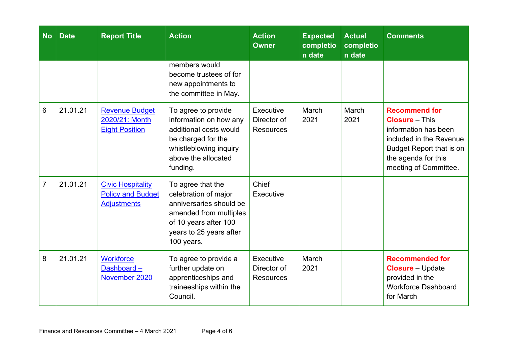| <b>No</b>      | <b>Date</b> | <b>Report Title</b>                                                        | <b>Action</b>                                                                                                                                                    | <b>Action</b><br><b>Owner</b>                | <b>Expected</b><br>completio<br>n date | <b>Actual</b><br>completio<br>n date | <b>Comments</b>                                                                                                                                                                     |
|----------------|-------------|----------------------------------------------------------------------------|------------------------------------------------------------------------------------------------------------------------------------------------------------------|----------------------------------------------|----------------------------------------|--------------------------------------|-------------------------------------------------------------------------------------------------------------------------------------------------------------------------------------|
|                |             |                                                                            | members would<br>become trustees of for<br>new appointments to<br>the committee in May.                                                                          |                                              |                                        |                                      |                                                                                                                                                                                     |
| 6              | 21.01.21    | <b>Revenue Budget</b><br>2020/21: Month<br><b>Eight Position</b>           | To agree to provide<br>information on how any<br>additional costs would<br>be charged for the<br>whistleblowing inquiry<br>above the allocated<br>funding.       | Executive<br>Director of<br><b>Resources</b> | March<br>2021                          | March<br>2021                        | <b>Recommend for</b><br><b>Closure</b> – This<br>information has been<br>included in the Revenue<br><b>Budget Report that is on</b><br>the agenda for this<br>meeting of Committee. |
| $\overline{7}$ | 21.01.21    | <b>Civic Hospitality</b><br><b>Policy and Budget</b><br><b>Adjustments</b> | To agree that the<br>celebration of major<br>anniversaries should be<br>amended from multiples<br>of 10 years after 100<br>years to 25 years after<br>100 years. | Chief<br>Executive                           |                                        |                                      |                                                                                                                                                                                     |
| 8              | 21.01.21    | <b>Workforce</b><br>Dashboard-<br>November 2020                            | To agree to provide a<br>further update on<br>apprenticeships and<br>traineeships within the<br>Council.                                                         | Executive<br>Director of<br><b>Resources</b> | March<br>2021                          |                                      | <b>Recommended for</b><br><b>Closure</b> – Update<br>provided in the<br><b>Workforce Dashboard</b><br>for March                                                                     |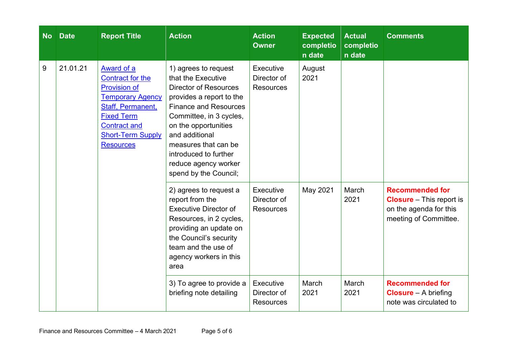| <b>No</b> | <b>Date</b> | <b>Report Title</b>                                                                                                                                                                                             | <b>Action</b>                                                                                                                                                                                                                                                                                                 | <b>Action</b><br><b>Owner</b>                | <b>Expected</b><br>completio<br>n date | <b>Actual</b><br>completio<br>n date | <b>Comments</b>                                                                                              |
|-----------|-------------|-----------------------------------------------------------------------------------------------------------------------------------------------------------------------------------------------------------------|---------------------------------------------------------------------------------------------------------------------------------------------------------------------------------------------------------------------------------------------------------------------------------------------------------------|----------------------------------------------|----------------------------------------|--------------------------------------|--------------------------------------------------------------------------------------------------------------|
| 9         | 21.01.21    | <b>Award of a</b><br>Contract for the<br><b>Provision of</b><br><b>Temporary Agency</b><br><b>Staff, Permanent,</b><br><b>Fixed Term</b><br><b>Contract and</b><br><b>Short-Term Supply</b><br><b>Resources</b> | 1) agrees to request<br>that the Executive<br><b>Director of Resources</b><br>provides a report to the<br><b>Finance and Resources</b><br>Committee, in 3 cycles,<br>on the opportunities<br>and additional<br>measures that can be<br>introduced to further<br>reduce agency worker<br>spend by the Council; | Executive<br>Director of<br><b>Resources</b> | August<br>2021                         |                                      |                                                                                                              |
|           |             |                                                                                                                                                                                                                 | 2) agrees to request a<br>report from the<br><b>Executive Director of</b><br>Resources, in 2 cycles,<br>providing an update on<br>the Council's security<br>team and the use of<br>agency workers in this<br>area                                                                                             | Executive<br>Director of<br><b>Resources</b> | May 2021                               | March<br>2021                        | <b>Recommended for</b><br><b>Closure</b> - This report is<br>on the agenda for this<br>meeting of Committee. |
|           |             |                                                                                                                                                                                                                 | 3) To agree to provide a<br>briefing note detailing                                                                                                                                                                                                                                                           | Executive<br>Director of<br><b>Resources</b> | March<br>2021                          | March<br>2021                        | <b>Recommended for</b><br><b>Closure</b> $-$ A briefing<br>note was circulated to                            |